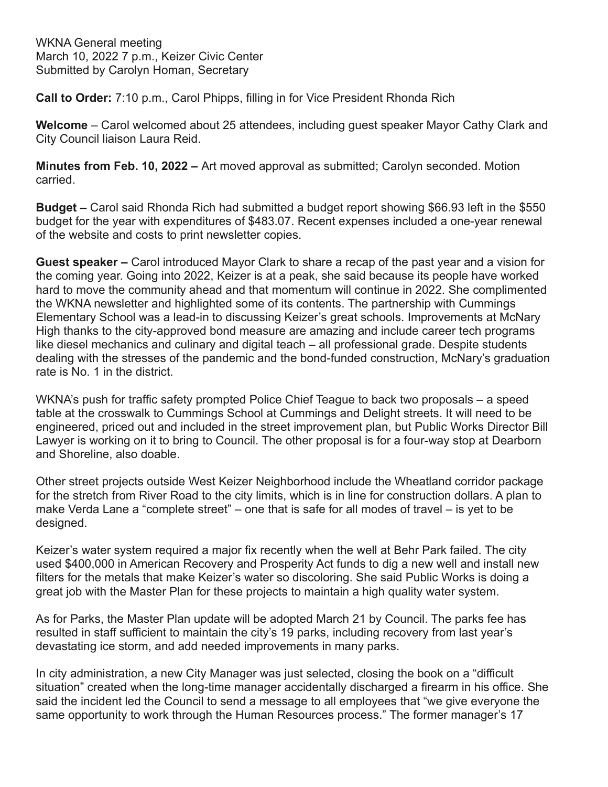WKNA General meeting March 10, 2022 7 p.m., Keizer Civic Center Submitted by Carolyn Homan, Secretary

**Call to Order:** 7:10 p.m., Carol Phipps, filling in for Vice President Rhonda Rich

**Welcome** – Carol welcomed about 25 attendees, including guest speaker Mayor Cathy Clark and City Council liaison Laura Reid.

**Minutes from Feb. 10, 2022 –** Art moved approval as submitted; Carolyn seconded. Motion carried.

**Budget –** Carol said Rhonda Rich had submitted a budget report showing \$66.93 left in the \$550 budget for the year with expenditures of \$483.07. Recent expenses included a one-year renewal of the website and costs to print newsletter copies.

**Guest speaker –** Carol introduced Mayor Clark to share a recap of the past year and a vision for the coming year. Going into 2022, Keizer is at a peak, she said because its people have worked hard to move the community ahead and that momentum will continue in 2022. She complimented the WKNA newsletter and highlighted some of its contents. The partnership with Cummings Elementary School was a lead-in to discussing Keizer's great schools. Improvements at McNary High thanks to the city-approved bond measure are amazing and include career tech programs like diesel mechanics and culinary and digital teach – all professional grade. Despite students dealing with the stresses of the pandemic and the bond-funded construction, McNary's graduation rate is No. 1 in the district.

WKNA's push for traffic safety prompted Police Chief Teague to back two proposals – a speed table at the crosswalk to Cummings School at Cummings and Delight streets. It will need to be engineered, priced out and included in the street improvement plan, but Public Works Director Bill Lawyer is working on it to bring to Council. The other proposal is for a four-way stop at Dearborn and Shoreline, also doable.

Other street projects outside West Keizer Neighborhood include the Wheatland corridor package for the stretch from River Road to the city limits, which is in line for construction dollars. A plan to make Verda Lane a "complete street" – one that is safe for all modes of travel – is yet to be designed.

Keizer's water system required a major fix recently when the well at Behr Park failed. The city used \$400,000 in American Recovery and Prosperity Act funds to dig a new well and install new filters for the metals that make Keizer's water so discoloring. She said Public Works is doing a great job with the Master Plan for these projects to maintain a high quality water system.

As for Parks, the Master Plan update will be adopted March 21 by Council. The parks fee has resulted in staff sufficient to maintain the city's 19 parks, including recovery from last year's devastating ice storm, and add needed improvements in many parks.

In city administration, a new City Manager was just selected, closing the book on a "difficult situation" created when the long-time manager accidentally discharged a firearm in his office. She said the incident led the Council to send a message to all employees that "we give everyone the same opportunity to work through the Human Resources process." The former manager's 17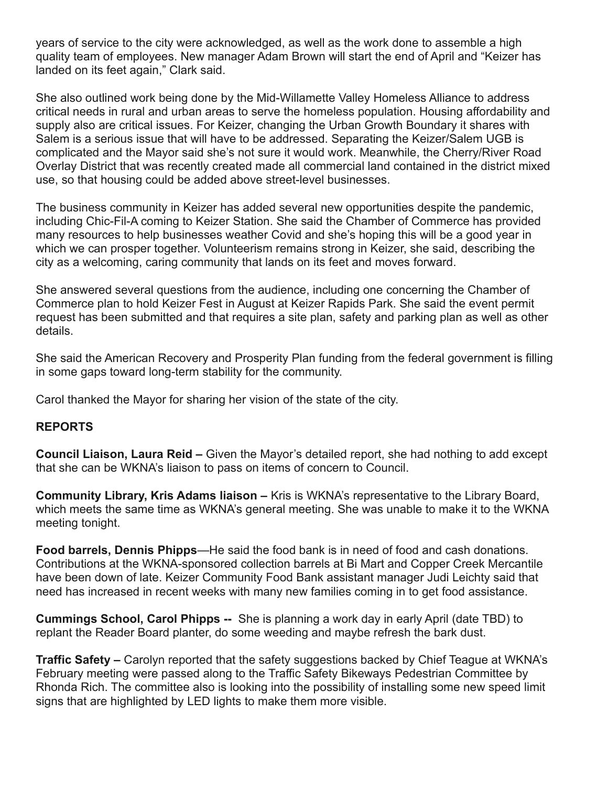years of service to the city were acknowledged, as well as the work done to assemble a high quality team of employees. New manager Adam Brown will start the end of April and "Keizer has landed on its feet again," Clark said.

She also outlined work being done by the Mid-Willamette Valley Homeless Alliance to address critical needs in rural and urban areas to serve the homeless population. Housing affordability and supply also are critical issues. For Keizer, changing the Urban Growth Boundary it shares with Salem is a serious issue that will have to be addressed. Separating the Keizer/Salem UGB is complicated and the Mayor said she's not sure it would work. Meanwhile, the Cherry/River Road Overlay District that was recently created made all commercial land contained in the district mixed use, so that housing could be added above street-level businesses.

The business community in Keizer has added several new opportunities despite the pandemic, including Chic-Fil-A coming to Keizer Station. She said the Chamber of Commerce has provided many resources to help businesses weather Covid and she's hoping this will be a good year in which we can prosper together. Volunteerism remains strong in Keizer, she said, describing the city as a welcoming, caring community that lands on its feet and moves forward.

She answered several questions from the audience, including one concerning the Chamber of Commerce plan to hold Keizer Fest in August at Keizer Rapids Park. She said the event permit request has been submitted and that requires a site plan, safety and parking plan as well as other details.

She said the American Recovery and Prosperity Plan funding from the federal government is filling in some gaps toward long-term stability for the community.

Carol thanked the Mayor for sharing her vision of the state of the city.

## **REPORTS**

**Council Liaison, Laura Reid –** Given the Mayor's detailed report, she had nothing to add except that she can be WKNA's liaison to pass on items of concern to Council.

**Community Library, Kris Adams liaison –** Kris is WKNA's representative to the Library Board, which meets the same time as WKNA's general meeting. She was unable to make it to the WKNA meeting tonight.

**Food barrels, Dennis Phipps**—He said the food bank is in need of food and cash donations. Contributions at the WKNA-sponsored collection barrels at Bi Mart and Copper Creek Mercantile have been down of late. Keizer Community Food Bank assistant manager Judi Leichty said that need has increased in recent weeks with many new families coming in to get food assistance.

**Cummings School, Carol Phipps --** She is planning a work day in early April (date TBD) to replant the Reader Board planter, do some weeding and maybe refresh the bark dust.

**Traffic Safety –** Carolyn reported that the safety suggestions backed by Chief Teague at WKNA's February meeting were passed along to the Traffic Safety Bikeways Pedestrian Committee by Rhonda Rich. The committee also is looking into the possibility of installing some new speed limit signs that are highlighted by LED lights to make them more visible.